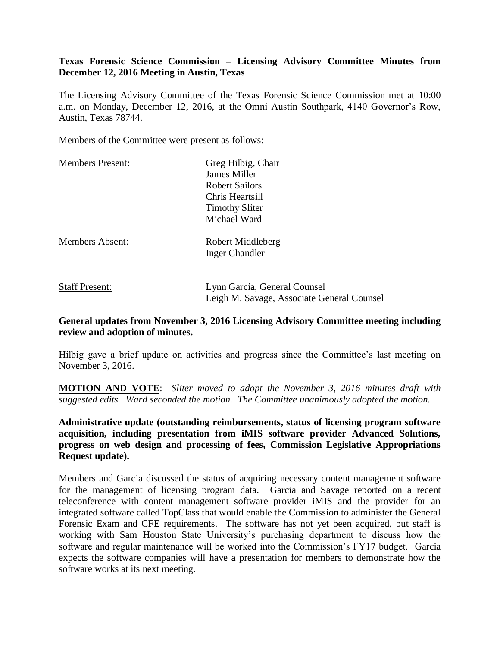# **Texas Forensic Science Commission – Licensing Advisory Committee Minutes from December 12, 2016 Meeting in Austin, Texas**

The Licensing Advisory Committee of the Texas Forensic Science Commission met at 10:00 a.m. on Monday, December 12, 2016, at the Omni Austin Southpark, 4140 Governor's Row, Austin, Texas 78744.

Members of the Committee were present as follows:

| <b>Members Present:</b> | Greg Hilbig, Chair                         |
|-------------------------|--------------------------------------------|
|                         | James Miller                               |
|                         | <b>Robert Sailors</b>                      |
|                         | Chris Heartsill                            |
|                         | <b>Timothy Sliter</b>                      |
|                         | Michael Ward                               |
| <b>Members Absent:</b>  | Robert Middleberg                          |
|                         | <b>Inger Chandler</b>                      |
| <b>Staff Present:</b>   | Lynn Garcia, General Counsel               |
|                         | Leigh M. Savage, Associate General Counsel |

#### **General updates from November 3, 2016 Licensing Advisory Committee meeting including review and adoption of minutes.**

Hilbig gave a brief update on activities and progress since the Committee's last meeting on November 3, 2016.

**MOTION AND VOTE**: *Sliter moved to adopt the November 3, 2016 minutes draft with suggested edits. Ward seconded the motion. The Committee unanimously adopted the motion.*

**Administrative update (outstanding reimbursements, status of licensing program software acquisition, including presentation from iMIS software provider Advanced Solutions, progress on web design and processing of fees, Commission Legislative Appropriations Request update).** 

Members and Garcia discussed the status of acquiring necessary content management software for the management of licensing program data. Garcia and Savage reported on a recent teleconference with content management software provider iMIS and the provider for an integrated software called TopClass that would enable the Commission to administer the General Forensic Exam and CFE requirements. The software has not yet been acquired, but staff is working with Sam Houston State University's purchasing department to discuss how the software and regular maintenance will be worked into the Commission's FY17 budget. Garcia expects the software companies will have a presentation for members to demonstrate how the software works at its next meeting.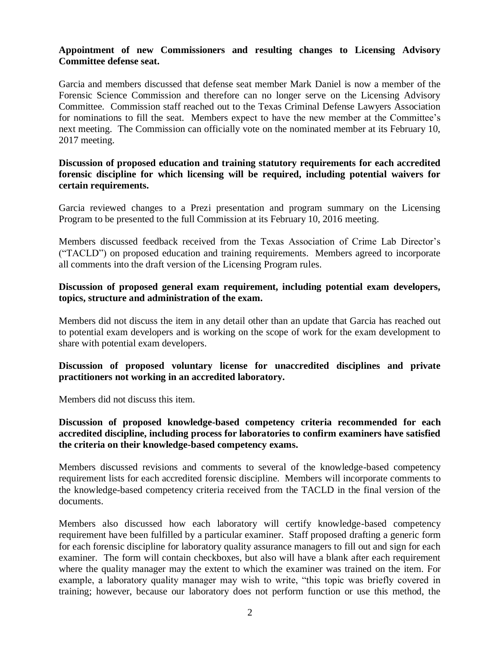#### **Appointment of new Commissioners and resulting changes to Licensing Advisory Committee defense seat.**

Garcia and members discussed that defense seat member Mark Daniel is now a member of the Forensic Science Commission and therefore can no longer serve on the Licensing Advisory Committee. Commission staff reached out to the Texas Criminal Defense Lawyers Association for nominations to fill the seat. Members expect to have the new member at the Committee's next meeting. The Commission can officially vote on the nominated member at its February 10, 2017 meeting.

# **Discussion of proposed education and training statutory requirements for each accredited forensic discipline for which licensing will be required, including potential waivers for certain requirements.**

Garcia reviewed changes to a Prezi presentation and program summary on the Licensing Program to be presented to the full Commission at its February 10, 2016 meeting.

Members discussed feedback received from the Texas Association of Crime Lab Director's ("TACLD") on proposed education and training requirements. Members agreed to incorporate all comments into the draft version of the Licensing Program rules.

# **Discussion of proposed general exam requirement, including potential exam developers, topics, structure and administration of the exam.**

Members did not discuss the item in any detail other than an update that Garcia has reached out to potential exam developers and is working on the scope of work for the exam development to share with potential exam developers.

# **Discussion of proposed voluntary license for unaccredited disciplines and private practitioners not working in an accredited laboratory.**

Members did not discuss this item.

# **Discussion of proposed knowledge-based competency criteria recommended for each accredited discipline, including process for laboratories to confirm examiners have satisfied the criteria on their knowledge-based competency exams.**

Members discussed revisions and comments to several of the knowledge-based competency requirement lists for each accredited forensic discipline. Members will incorporate comments to the knowledge-based competency criteria received from the TACLD in the final version of the documents.

Members also discussed how each laboratory will certify knowledge-based competency requirement have been fulfilled by a particular examiner. Staff proposed drafting a generic form for each forensic discipline for laboratory quality assurance managers to fill out and sign for each examiner. The form will contain checkboxes, but also will have a blank after each requirement where the quality manager may the extent to which the examiner was trained on the item. For example, a laboratory quality manager may wish to write, "this topic was briefly covered in training; however, because our laboratory does not perform function or use this method, the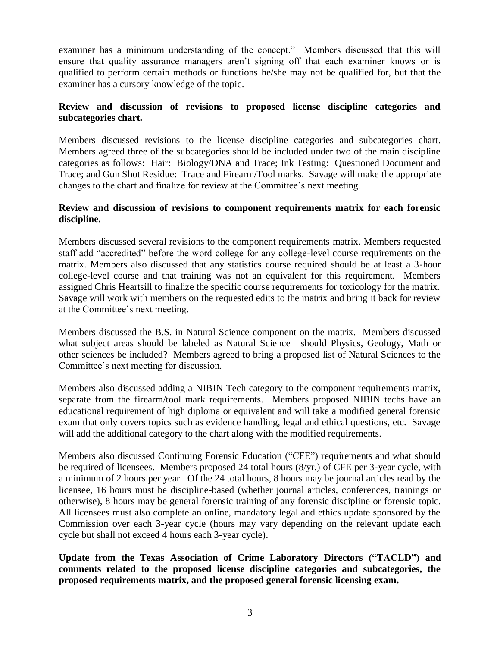examiner has a minimum understanding of the concept." Members discussed that this will ensure that quality assurance managers aren't signing off that each examiner knows or is qualified to perform certain methods or functions he/she may not be qualified for, but that the examiner has a cursory knowledge of the topic.

# **Review and discussion of revisions to proposed license discipline categories and subcategories chart.**

Members discussed revisions to the license discipline categories and subcategories chart. Members agreed three of the subcategories should be included under two of the main discipline categories as follows: Hair: Biology/DNA and Trace; Ink Testing: Questioned Document and Trace; and Gun Shot Residue: Trace and Firearm/Tool marks. Savage will make the appropriate changes to the chart and finalize for review at the Committee's next meeting.

# **Review and discussion of revisions to component requirements matrix for each forensic discipline.**

Members discussed several revisions to the component requirements matrix. Members requested staff add "accredited" before the word college for any college-level course requirements on the matrix. Members also discussed that any statistics course required should be at least a 3-hour college-level course and that training was not an equivalent for this requirement. Members assigned Chris Heartsill to finalize the specific course requirements for toxicology for the matrix. Savage will work with members on the requested edits to the matrix and bring it back for review at the Committee's next meeting.

Members discussed the B.S. in Natural Science component on the matrix. Members discussed what subject areas should be labeled as Natural Science—should Physics, Geology, Math or other sciences be included? Members agreed to bring a proposed list of Natural Sciences to the Committee's next meeting for discussion.

Members also discussed adding a NIBIN Tech category to the component requirements matrix, separate from the firearm/tool mark requirements. Members proposed NIBIN techs have an educational requirement of high diploma or equivalent and will take a modified general forensic exam that only covers topics such as evidence handling, legal and ethical questions, etc. Savage will add the additional category to the chart along with the modified requirements.

Members also discussed Continuing Forensic Education ("CFE") requirements and what should be required of licensees. Members proposed 24 total hours (8/yr.) of CFE per 3-year cycle, with a minimum of 2 hours per year. Of the 24 total hours, 8 hours may be journal articles read by the licensee, 16 hours must be discipline-based (whether journal articles, conferences, trainings or otherwise), 8 hours may be general forensic training of any forensic discipline or forensic topic. All licensees must also complete an online, mandatory legal and ethics update sponsored by the Commission over each 3-year cycle (hours may vary depending on the relevant update each cycle but shall not exceed 4 hours each 3-year cycle).

**Update from the Texas Association of Crime Laboratory Directors ("TACLD") and comments related to the proposed license discipline categories and subcategories, the proposed requirements matrix, and the proposed general forensic licensing exam.**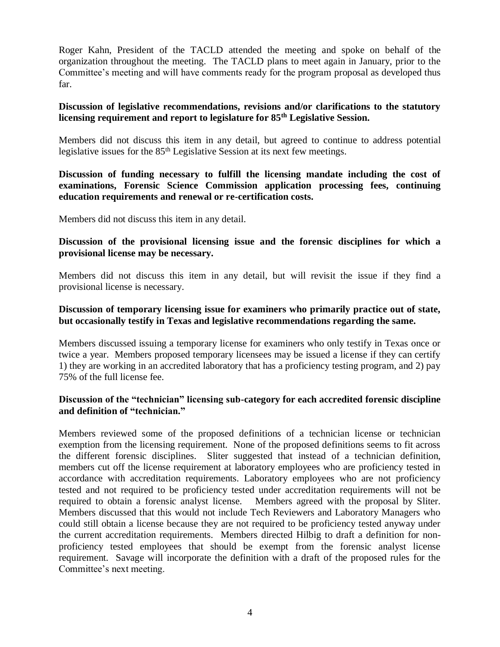Roger Kahn, President of the TACLD attended the meeting and spoke on behalf of the organization throughout the meeting. The TACLD plans to meet again in January, prior to the Committee's meeting and will have comments ready for the program proposal as developed thus far.

#### **Discussion of legislative recommendations, revisions and/or clarifications to the statutory licensing requirement and report to legislature for 85th Legislative Session.**

Members did not discuss this item in any detail, but agreed to continue to address potential legislative issues for the 85<sup>th</sup> Legislative Session at its next few meetings.

# **Discussion of funding necessary to fulfill the licensing mandate including the cost of examinations, Forensic Science Commission application processing fees, continuing education requirements and renewal or re-certification costs.**

Members did not discuss this item in any detail.

#### **Discussion of the provisional licensing issue and the forensic disciplines for which a provisional license may be necessary.**

Members did not discuss this item in any detail, but will revisit the issue if they find a provisional license is necessary.

### **Discussion of temporary licensing issue for examiners who primarily practice out of state, but occasionally testify in Texas and legislative recommendations regarding the same.**

Members discussed issuing a temporary license for examiners who only testify in Texas once or twice a year. Members proposed temporary licensees may be issued a license if they can certify 1) they are working in an accredited laboratory that has a proficiency testing program, and 2) pay 75% of the full license fee.

# **Discussion of the "technician" licensing sub-category for each accredited forensic discipline and definition of "technician."**

Members reviewed some of the proposed definitions of a technician license or technician exemption from the licensing requirement. None of the proposed definitions seems to fit across the different forensic disciplines. Sliter suggested that instead of a technician definition, members cut off the license requirement at laboratory employees who are proficiency tested in accordance with accreditation requirements. Laboratory employees who are not proficiency tested and not required to be proficiency tested under accreditation requirements will not be required to obtain a forensic analyst license. Members agreed with the proposal by Sliter. Members discussed that this would not include Tech Reviewers and Laboratory Managers who could still obtain a license because they are not required to be proficiency tested anyway under the current accreditation requirements. Members directed Hilbig to draft a definition for nonproficiency tested employees that should be exempt from the forensic analyst license requirement. Savage will incorporate the definition with a draft of the proposed rules for the Committee's next meeting.